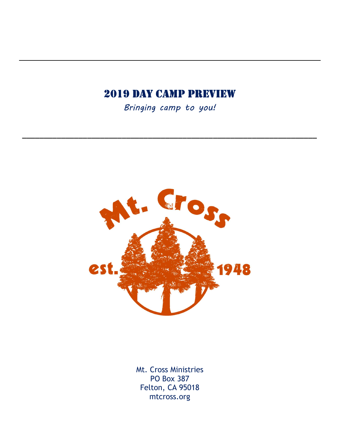## 2019 Day Camp preview

Bringing camp to you!

\_\_\_\_\_\_\_\_\_\_\_\_\_\_\_\_\_\_\_\_\_\_\_\_\_\_\_\_\_\_\_\_\_\_\_\_\_\_\_\_\_\_\_\_\_\_\_\_\_\_\_\_\_\_\_\_\_\_\_\_\_\_\_\_\_\_\_\_



Mt. Cross Ministries PO Box 387 Felton, CA 95018 mtcross.org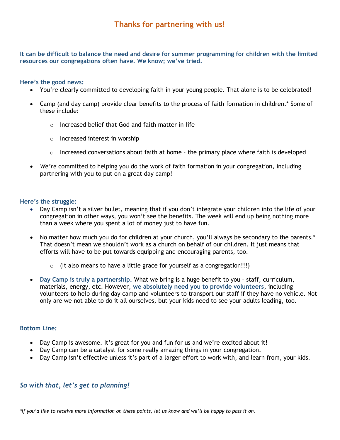It can be difficult to balance the need and desire for summer programming for children with the limited resources our congregations often have. We know; we've tried.

#### Here's the good news:

- You're clearly committed to developing faith in your young people. That alone is to be celebrated!
- Camp (and day camp) provide clear benefits to the process of faith formation in children.\* Some of these include:
	- $\circ$  Increased belief that God and faith matter in life
	- o Increased interest in worship
	- $\circ$  Increased conversations about faith at home the primary place where faith is developed
- We're committed to helping you do the work of faith formation in your congregation, including partnering with you to put on a great day camp!

#### Here's the struggle:

- Day Camp isn't a silver bullet, meaning that if you don't integrate your children into the life of your congregation in other ways, you won't see the benefits. The week will end up being nothing more than a week where you spent a lot of money just to have fun.
- No matter how much you do for children at your church, you'll always be secondary to the parents.\* That doesn't mean we shouldn't work as a church on behalf of our children. It just means that efforts will have to be put towards equipping and encouraging parents, too.
	- $\circ$  (It also means to have a little grace for yourself as a congregation!!!)
- Day Camp is truly a partnership. What we bring is a huge benefit to you staff, curriculum, materials, energy, etc. However, we absolutely need you to provide volunteers, including volunteers to help during day camp and volunteers to transport our staff if they have no vehicle. Not only are we not able to do it all ourselves, but your kids need to see your adults leading, too.

#### Bottom Line:

- Day Camp is awesome. It's great for you and fun for us and we're excited about it!
- Day Camp can be a catalyst for some really amazing things in your congregation.
- Day Camp isn't effective unless it's part of a larger effort to work with, and learn from, your kids.

#### So with that, let's get to planning!

\*If you'd like to receive more information on these points, let us know and we'll be happy to pass it on.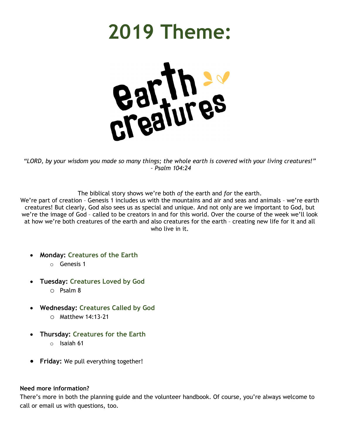# 2019 Theme:



"LORD, by your wisdom you made so many things; the whole earth is covered with your living creatures!" – Psalm 104:24

The biblical story shows we're both of the earth and for the earth.

We're part of creation – Genesis 1 includes us with the mountains and air and seas and animals – we're earth creatures! But clearly, God also sees us as special and unique. And not only are we important to God, but we're the image of God – called to be creators in and for this world. Over the course of the week we'll look at how we're both creatures of the earth and also creatures for the earth – creating new life for it and all who live in it.

- Monday: Creatures of the Earth
	- o Genesis 1
- Tuesday: Creatures Loved by God
	- o Psalm 8
- Wednesday: Creatures Called by God
	- o Matthew 14:13-21
- Thursday: Creatures for the Earth
	- o Isaiah 61
- **Friday:** We pull everything together!

#### Need more information?

There's more in both the planning guide and the volunteer handbook. Of course, you're always welcome to call or email us with questions, too.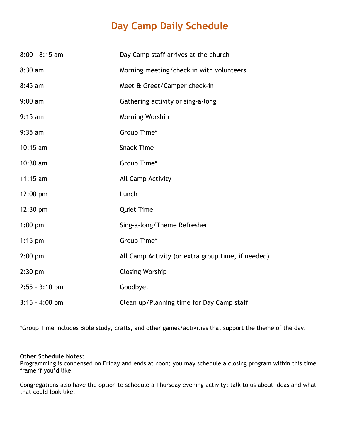# Day Camp Daily Schedule

| $8:00 - 8:15$ am   | Day Camp staff arrives at the church               |
|--------------------|----------------------------------------------------|
| $8:30$ am          | Morning meeting/check in with volunteers           |
| $8:45$ am          | Meet & Greet/Camper check-in                       |
| $9:00$ am          | Gathering activity or sing-a-long                  |
| $9:15$ am          | Morning Worship                                    |
| $9:35$ am          | Group Time*                                        |
| $10:15$ am         | <b>Snack Time</b>                                  |
| $10:30$ am         | Group Time*                                        |
| $11:15$ am         | All Camp Activity                                  |
| $12:00 \text{ pm}$ | Lunch                                              |
| 12:30 pm           | <b>Quiet Time</b>                                  |
| $1:00$ pm          | Sing-a-long/Theme Refresher                        |
| $1:15$ pm          | Group Time*                                        |
| $2:00$ pm          | All Camp Activity (or extra group time, if needed) |
| $2:30$ pm          | <b>Closing Worship</b>                             |
| $2:55 - 3:10$ pm   | Goodbye!                                           |
| $3:15 - 4:00$ pm   | Clean up/Planning time for Day Camp staff          |

\*Group Time includes Bible study, crafts, and other games/activities that support the theme of the day.

#### Other Schedule Notes:

Programming is condensed on Friday and ends at noon; you may schedule a closing program within this time frame if you'd like.

Congregations also have the option to schedule a Thursday evening activity; talk to us about ideas and what that could look like.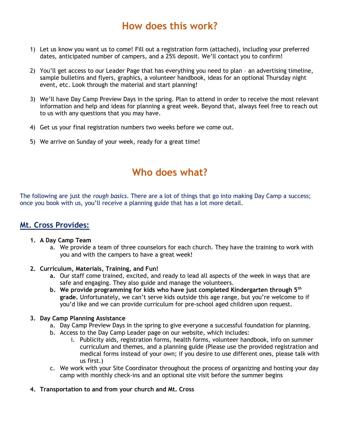## How does this work?

- 1) Let us know you want us to come! Fill out a registration form (attached), including your preferred dates, anticipated number of campers, and a 25% deposit. We'll contact you to confirm!
- 2) You'll get access to our Leader Page that has everything you need to plan an advertising timeline, sample bulletins and flyers, graphics, a volunteer handbook, ideas for an optional Thursday night event, etc. Look through the material and start planning!
- 3) We'll have Day Camp Preview Days in the spring. Plan to attend in order to receive the most relevant information and help and ideas for planning a great week. Beyond that, always feel free to reach out to us with any questions that you may have.
- 4) Get us your final registration numbers two weeks before we come out.
- 5) We arrive on Sunday of your week, ready for a great time!

## Who does what?

The following are just the rough basics. There are a lot of things that go into making Day Camp a success; once you book with us, you'll receive a planning guide that has a lot more detail.

### Mt. Cross Provides:

- 1. A Day Camp Team
	- a. We provide a team of three counselors for each church. They have the training to work with you and with the campers to have a great week!
- 2. Curriculum, Materials, Training, and Fun!
	- a. Our staff come trained, excited, and ready to lead all aspects of the week in ways that are safe and engaging. They also guide and manage the volunteers.
	- b. We provide programming for kids who have just completed Kindergarten through  $5<sup>th</sup>$ grade. Unfortunately, we can't serve kids outside this age range, but you're welcome to if you'd like and we can provide curriculum for pre-school aged children upon request.

#### 3. Day Camp Planning Assistance

- a. Day Camp Preview Days in the spring to give everyone a successful foundation for planning.
- b. Access to the Day Camp Leader page on our website, which includes:
	- i. Publicity aids, registration forms, health forms, volunteer handbook, info on summer curriculum and themes, and a planning guide (Please use the provided registration and medical forms instead of your own; if you desire to use different ones, please talk with us first.)
- c. We work with your Site Coordinator throughout the process of organizing and hosting your day camp with monthly check-ins and an optional site visit before the summer begins
- 4. Transportation to and from your church and Mt. Cross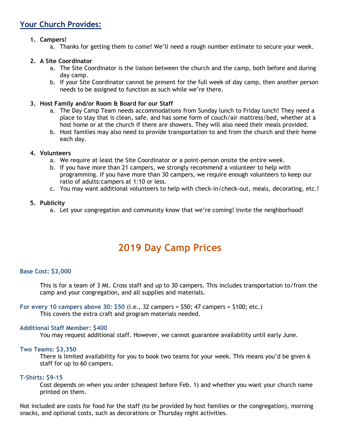## Your Church Provides:

#### 1. Campers!

a. Thanks for getting them to come! We'll need a rough number estimate to secure your week.

#### 2. A Site Coordinator

- a. The Site Coordinator is the liaison between the church and the camp, both before and during day camp.
- b. If your Site Coordinator cannot be present for the full week of day camp, then another person needs to be assigned to function as such while we're there.

#### 3. Host Family and/or Room & Board for our Staff

- a. The Day Camp Team needs accommodations from Sunday lunch to Friday lunch! They need a place to stay that is clean, safe, and has some form of couch/air mattress/bed, whether at a host home or at the church if there are showers. They will also need their meals provided.
- b. Host families may also need to provide transportation to and from the church and their home each day.

#### 4. Volunteers

- a. We require at least the Site Coordinator or a point-person onsite the entire week.
- b. If you have more than 21 campers, we strongly recommend a volunteer to help with programming. If you have more than 30 campers, we require enough volunteers to keep our ratio of adults:campers at 1:10 or less.
- c. You may want additional volunteers to help with check-in/check-out, meals, decorating, etc.!

#### 5. Publicity

a. Let your congregation and community know that we're coming! Invite the neighborhood!

## 2019 Day Camp Prices

#### Base Cost: \$2,000

This is for a team of 3 Mt. Cross staff and up to 30 campers. This includes transportation to/from the camp and your congregation, and all supplies and materials.

For every 10 campers above 30: \$50 (i.e., 32 campers = \$50; 47 campers = \$100; etc.) This covers the extra craft and program materials needed.

#### Additional Staff Member: \$400

You may request additional staff. However, we cannot guarantee availability until early June.

#### Two Teams: \$3,350

There is limited availability for you to book two teams for your week. This means you'd be given 6 staff for up to 60 campers.

#### T-Shirts: \$9-15

Cost depends on when you order (cheapest before Feb. 1) and whether you want your church name printed on them.

Not included are costs for food for the staff (to be provided by host families or the congregation), morning snacks, and optional costs, such as decorations or Thursday night activities.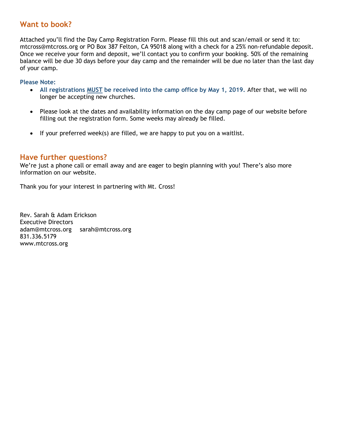## Want to book?

Attached you'll find the Day Camp Registration Form. Please fill this out and scan/email or send it to: mtcross@mtcross.org or PO Box 387 Felton, CA 95018 along with a check for a 25% non-refundable deposit. Once we receive your form and deposit, we'll contact you to confirm your booking. 50% of the remaining balance will be due 30 days before your day camp and the remainder will be due no later than the last day of your camp.

Please Note:

- All registrations MUST be received into the camp office by May 1, 2019. After that, we will no longer be accepting new churches.
- Please look at the dates and availability information on the day camp page of our website before filling out the registration form. Some weeks may already be filled.
- If your preferred week(s) are filled, we are happy to put you on a waitlist.

#### Have further questions?

We're just a phone call or email away and are eager to begin planning with you! There's also more information on our website.

Thank you for your interest in partnering with Mt. Cross!

Rev. Sarah & Adam Erickson Executive Directors adam@mtcross.org sarah@mtcross.org 831.336.5179 www.mtcross.org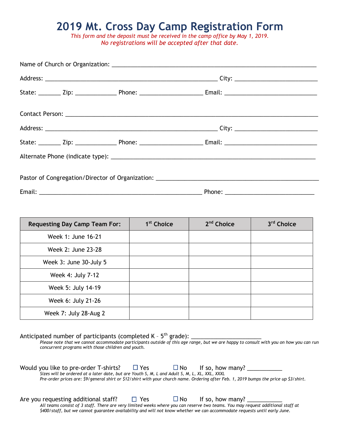# 2019 Mt. Cross Day Camp Registration Form

This form and the deposit must be received in the camp office by May 1, 2019. No registrations will be accepted after that date.

| <b>Requesting Day Camp Team For:</b> | 1 <sup>st</sup> Choice | 2 <sup>nd</sup> Choice | 3 <sup>rd</sup> Choice |
|--------------------------------------|------------------------|------------------------|------------------------|
| Week 1: June 16-21                   |                        |                        |                        |
| Week 2: June 23-28                   |                        |                        |                        |
| Week 3: June 30-July 5               |                        |                        |                        |
| Week 4: July 7-12                    |                        |                        |                        |
| Week 5: July 14-19                   |                        |                        |                        |
| Week 6: July 21-26                   |                        |                        |                        |
| Week 7: July 28-Aug 2                |                        |                        |                        |

Anticipated number of participants (completed K – 5th grade): \_\_\_\_\_\_\_\_\_\_\_\_\_\_\_\_\_\_\_\_\_\_

Please note that we cannot accommodate participants outside of this age range, but we are happy to consult with you on how you can run concurrent programs with those children and youth.

| Would you like to pre-order T-shirts?                                                                                                  | $\square$ Yes | $\square$ No | If so, how many? |  |
|----------------------------------------------------------------------------------------------------------------------------------------|---------------|--------------|------------------|--|
| Sizes will be ordered at a later date, but are Youth S, M, L and Adult S, M, L, XL, XXL, XXXL                                          |               |              |                  |  |
| Pre-order prices are: \$9/general shirt or \$12/shirt with your church name. Ordering after Feb. 1, 2019 bumps the price up \$3/shirt. |               |              |                  |  |

Are you requesting additional staff?  $\Box$  Yes  $\Box$  No If so, how many? \_\_\_\_\_\_\_\_\_\_\_ All teams consist of 3 staff. There are very limited weeks where you can reserve two teams. You may request additional staff at \$400/staff, but we cannot guarantee availability and will not know whether we can accommodate requests until early June.